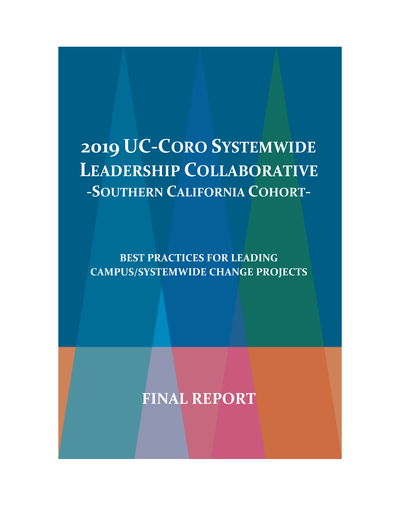# **2019 UC-CORO SYSTEMWIDE LEADERSHIP COLLABORATIVE -SOUTHERN CALIFORNIA COHORT-**

**BEST PRACTICES FOR LEADING CAMPUS/SYSTEMWIDE CHANGE PROJECTS**

**FINAL REPORT**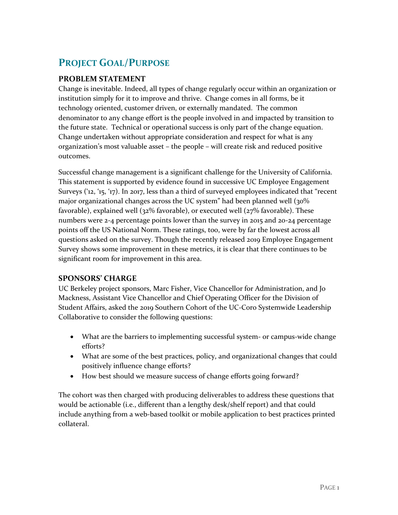## **PROJECT GOAL/PURPOSE**

#### **PROBLEM STATEMENT**

Change is inevitable. Indeed, all types of change regularly occur within an organization or institution simply for it to improve and thrive. Change comes in all forms, be it technology oriented, customer driven, or externally mandated. The common denominator to any change effort is the people involved in and impacted by transition to the future state. Technical or operational success is only part of the change equation. Change undertaken without appropriate consideration and respect for what is any organization's most valuable asset – the people – will create risk and reduced positive outcomes.

Successful change management is a significant challenge for the University of California. This statement is supported by evidence found in successive UC Employee Engagement Surveys ('12, '15, '17). In 2017, less than a third of surveyed employees indicated that "recent major organizational changes across the UC system" had been planned well (30% favorable), explained well (32% favorable), or executed well (27% favorable). These numbers were 2-4 percentage points lower than the survey in 2015 and 20-24 percentage points off the US National Norm. These ratings, too, were by far the lowest across all questions asked on the survey. Though the recently released 2019 Employee Engagement Survey shows some improvement in these metrics, it is clear that there continues to be significant room for improvement in this area.

#### **SPONSORS' CHARGE**

UC Berkeley project sponsors, Marc Fisher, Vice Chancellor for Administration, and Jo Mackness, Assistant Vice Chancellor and Chief Operating Officer for the Division of Student Affairs, asked the 2019 Southern Cohort of the UC-Coro Systemwide Leadership Collaborative to consider the following questions:

- What are the barriers to implementing successful system- or campus-wide change efforts?
- What are some of the best practices, policy, and organizational changes that could positively influence change efforts?
- How best should we measure success of change efforts going forward?

The cohort was then charged with producing deliverables to address these questions that would be actionable (i.e., different than a lengthy desk/shelf report) and that could include anything from a web-based toolkit or mobile application to best practices printed collateral.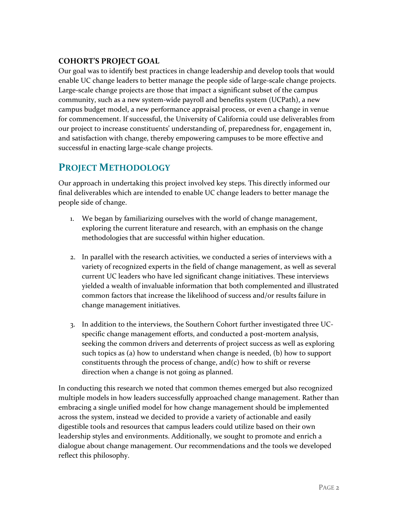### **COHORT'S PROJECT GOAL**

Our goal was to identify best practices in change leadership and develop tools that would enable UC change leaders to better manage the people side of large-scale change projects. Large-scale change projects are those that impact a significant subset of the campus community, such as a new system-wide payroll and benefits system (UCPath), a new campus budget model, a new performance appraisal process, or even a change in venue for commencement. If successful, the University of California could use deliverables from our project to increase constituents' understanding of, preparedness for, engagement in, and satisfaction with change, thereby empowering campuses to be more effective and successful in enacting large-scale change projects.

## **PROJECT METHODOLOGY**

Our approach in undertaking this project involved key steps. This directly informed our final deliverables which are intended to enable UC change leaders to better manage the people side of change.

- 1. We began by familiarizing ourselves with the world of change management, exploring the current literature and research, with an emphasis on the change methodologies that are successful within higher education.
- 2. In parallel with the research activities, we conducted a series of interviews with a variety of recognized experts in the field of change management, as well as several current UC leaders who have led significant change initiatives. These interviews yielded a wealth of invaluable information that both complemented and illustrated common factors that increase the likelihood of success and/or results failure in change management initiatives.
- 3. In addition to the interviews, the Southern Cohort further investigated three UCspecific change management efforts, and conducted a post-mortem analysis, seeking the common drivers and deterrents of project success as well as exploring such topics as (a) how to understand when change is needed, (b) how to support constituents through the process of change, and(c) how to shift or reverse direction when a change is not going as planned.

In conducting this research we noted that common themes emerged but also recognized multiple models in how leaders successfully approached change management. Rather than embracing a single unified model for how change management should be implemented across the system, instead we decided to provide a variety of actionable and easily digestible tools and resources that campus leaders could utilize based on their own leadership styles and environments. Additionally, we sought to promote and enrich a dialogue about change management. Our recommendations and the tools we developed reflect this philosophy.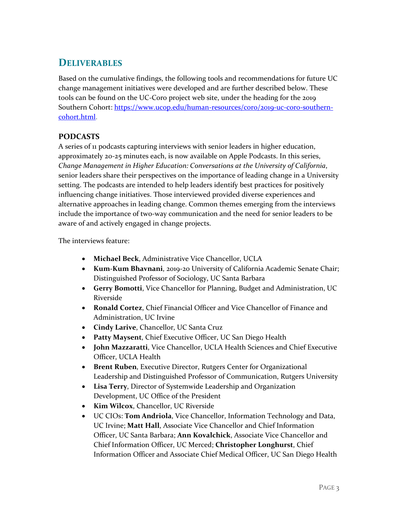## **DELIVERABLES**

Based on the cumulative findings, the following tools and recommendations for future UC change management initiatives were developed and are further described below. These tools can be found on the UC-Coro project web site, under the heading for the 2019 Southern Cohort: [https://www.ucop.edu/human-resources/coro/2019-uc-coro-southern](https://www.ucop.edu/human-resources/coro/2019-uc-coro-southern-cohort.html)[cohort.html.](https://www.ucop.edu/human-resources/coro/2019-uc-coro-southern-cohort.html)

#### **PODCASTS**

A series of 11 podcasts capturing interviews with senior leaders in higher education, approximately 20-25 minutes each, is now available on Apple Podcasts. In this series, *Change Management in Higher Education: Conversations at the University of California*, senior leaders share their perspectives on the importance of leading change in a University setting. The podcasts are intended to help leaders identify best practices for positively influencing change initiatives. Those interviewed provided diverse experiences and alternative approaches in leading change. Common themes emerging from the interviews include the importance of two-way communication and the need for senior leaders to be aware of and actively engaged in change projects.

The interviews feature:

- **Michael Beck**, Administrative Vice Chancellor, UCLA
- **Kum-Kum Bhavnani**, 2019-20 University of California Academic Senate Chair; Distinguished Professor of Sociology, UC Santa Barbara
- **Gerry Bomotti**, Vice Chancellor for Planning, Budget and Administration, UC Riverside
- **Ronald Cortez**, Chief Financial Officer and Vice Chancellor of Finance and Administration, UC Irvine
- **Cindy Larive**, Chancellor, UC Santa Cruz
- **Patty Maysent**, Chief Executive Officer, UC San Diego Health
- **John Mazzaratti**, Vice Chancellor, UCLA Health Sciences and Chief Executive Officer, UCLA Health
- **Brent Ruben**, Executive Director, Rutgers Center for Organizational Leadership and Distinguished Professor of Communication, Rutgers University
- **Lisa Terry**, Director of Systemwide Leadership and Organization Development, UC Office of the President
- **Kim Wilcox**, Chancellor, UC Riverside
- UC CIOs: **Tom Andriola**, Vice Chancellor, Information Technology and Data, UC Irvine; **Matt Hall**, Associate Vice Chancellor and Chief Information Officer, UC Santa Barbara; **Ann Kovalchick**, Associate Vice Chancellor and Chief Information Officer, UC Merced; **Christopher Longhurst**, Chief Information Officer and Associate Chief Medical Officer, UC San Diego Health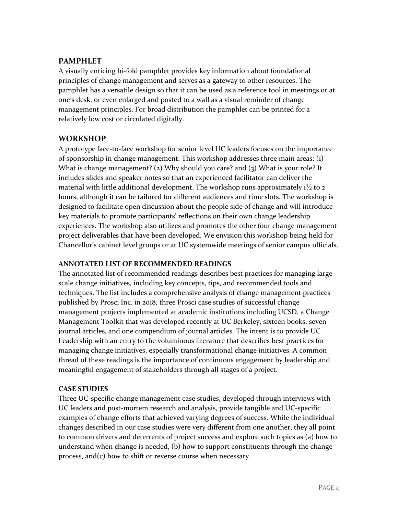#### **PAMPHLET**

A visually enticing bi-fold pamphlet provides key information about foundational principles of change management and serves as a gateway to other resources. The pamphlet has a versatile design so that it can be used as a reference tool in meetings or at one's desk, or even enlarged and posted to a wall as a visual reminder of change management principles. For broad distribution the pamphlet can be printed for a relatively low cost or circulated digitally.

#### **WORKSHOP**

A prototype face-to-face workshop for senior level UC leaders focuses on the importance of sponsorship in change management. This workshop addresses three main areas: (1) What is change management? (2) Why should you care? and (3) What is your role? It includes slides and speaker notes so that an experienced facilitator can deliver the material with little additional development. The workshop runs approximately  $1\frac{1}{2}$  to 2 hours, although it can be tailored for different audiences and time slots. The workshop is designed to facilitate open discussion about the people side of change and will introduce key materials to promote participants' reflections on their own change leadership experiences. The workshop also utilizes and promotes the other four change management project deliverables that have been developed. We envision this workshop being held for Chancellor's cabinet level groups or at UC systemwide meetings of senior campus officials.

#### **ANNOTATED LIST OF RECOMMENDED READINGS**

The annotated list of recommended readings describes best practices for managing largescale change initiatives, including key concepts, tips, and recommended tools and techniques. The list includes a comprehensive analysis of change management practices published by Prosci Inc. in 2018, three Prosci case studies of successful change management projects implemented at academic institutions including UCSD, a Change Management Toolkit that was developed recently at UC Berkeley, sixteen books, seven journal articles, and one compendium of journal articles. The intent is to provide UC Leadership with an entry to the voluminous literature that describes best practices for managing change initiatives, especially transformational change initiatives. A common thread of these readings is the importance of continuous engagement by leadership and meaningful engagement of stakeholders through all stages of a project.

#### **CASE STUDIES**

Three UC-specific change management case studies, developed through interviews with UC leaders and post-mortem research and analysis, provide tangible and UC-specific examples of change efforts that achieved varying degrees of success. While the individual changes described in our case studies were very different from one another, they all point to common drivers and deterrents of project success and explore such topics as (a) how to understand when change is needed, (b) how to support constituents through the change process, and(c) how to shift or reverse course when necessary.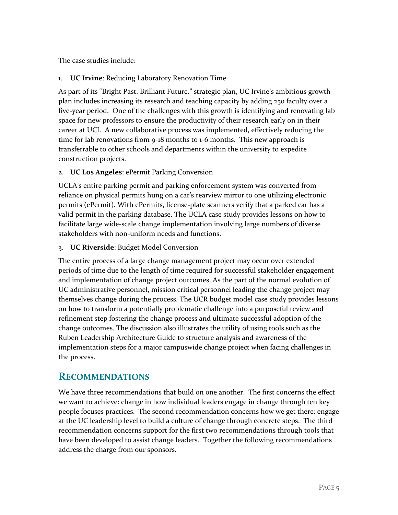The case studies include:

#### 1. **UC Irvine**: Reducing Laboratory Renovation Time

As part of its "Bright Past. Brilliant Future." strategic plan, UC Irvine's ambitious growth plan includes increasing its research and teaching capacity by adding 250 faculty over a five-year period. One of the challenges with this growth is identifying and renovating lab space for new professors to ensure the productivity of their research early on in their career at UCI. A new collaborative process was implemented, effectively reducing the time for lab renovations from 9-18 months to 1-6 months. This new approach is transferrable to other schools and departments within the university to expedite construction projects.

#### 2. **UC Los Angeles**: ePermit Parking Conversion

UCLA's entire parking permit and parking enforcement system was converted from reliance on physical permits hung on a car's rearview mirror to one utilizing electronic permits (ePermit). With ePermits, license-plate scanners verify that a parked car has a valid permit in the parking database. The UCLA case study provides lessons on how to facilitate large wide-scale change implementation involving large numbers of diverse stakeholders with non-uniform needs and functions.

#### 3. **UC Riverside**: Budget Model Conversion

The entire process of a large change management project may occur over extended periods of time due to the length of time required for successful stakeholder engagement and implementation of change project outcomes. As the part of the normal evolution of UC administrative personnel, mission critical personnel leading the change project may themselves change during the process. The UCR budget model case study provides lessons on how to transform a potentially problematic challenge into a purposeful review and refinement step fostering the change process and ultimate successful adoption of the change outcomes. The discussion also illustrates the utility of using tools such as the Ruben Leadership Architecture Guide to structure analysis and awareness of the implementation steps for a major campuswide change project when facing challenges in the process.

## **RECOMMENDATIONS**

We have three recommendations that build on one another. The first concerns the effect we want to achieve: change in how individual leaders engage in change through ten key people focuses practices. The second recommendation concerns how we get there: engage at the UC leadership level to build a culture of change through concrete steps. The third recommendation concerns support for the first two recommendations through tools that have been developed to assist change leaders. Together the following recommendations address the charge from our sponsors.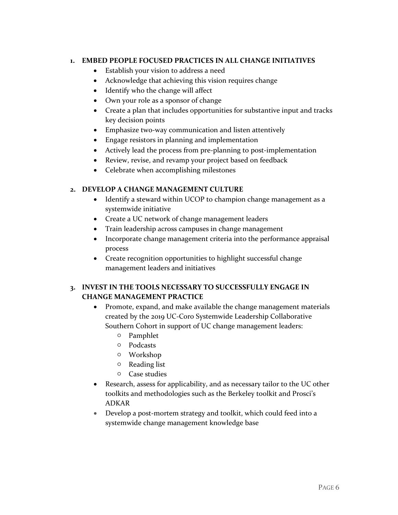#### **1. EMBED PEOPLE FOCUSED PRACTICES IN ALL CHANGE INITIATIVES**

- Establish your vision to address a need
- Acknowledge that achieving this vision requires change
- Identify who the change will affect
- Own your role as a sponsor of change
- Create a plan that includes opportunities for substantive input and tracks key decision points
- Emphasize two-way communication and listen attentively
- Engage resistors in planning and implementation
- Actively lead the process from pre-planning to post-implementation
- Review, revise, and revamp your project based on feedback
- Celebrate when accomplishing milestones

#### **2. DEVELOP A CHANGE MANAGEMENT CULTURE**

- Identify a steward within UCOP to champion change management as a systemwide initiative
- Create a UC network of change management leaders
- Train leadership across campuses in change management
- Incorporate change management criteria into the performance appraisal process
- Create recognition opportunities to highlight successful change management leaders and initiatives

#### **3. INVEST IN THE TOOLS NECESSARY TO SUCCESSFULLY ENGAGE IN CHANGE MANAGEMENT PRACTICE**

- Promote, expand, and make available the change management materials created by the 2019 UC-Coro Systemwide Leadership Collaborative Southern Cohort in support of UC change management leaders:
	- Pamphlet
	- Podcasts
	- Workshop
	- Reading list
	- Case studies
- Research, assess for applicability, and as necessary tailor to the UC other toolkits and methodologies such as the Berkeley toolkit and Prosci's ADKAR
- Develop a post-mortem strategy and toolkit, which could feed into a systemwide change management knowledge base